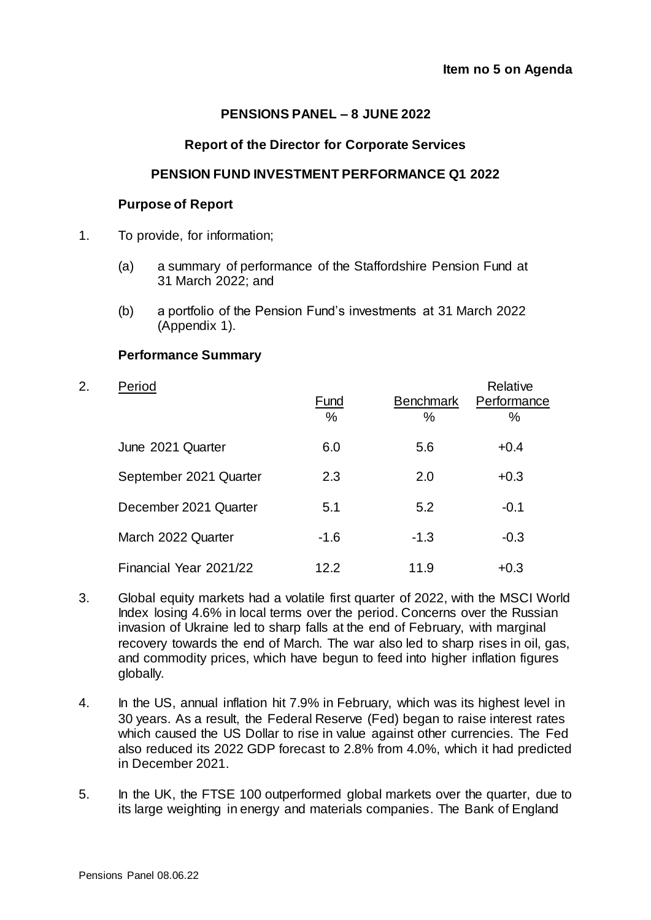# **PENSIONS PANEL – 8 JUNE 2022**

#### **Report of the Director for Corporate Services**

## **PENSION FUND INVESTMENT PERFORMANCE Q1 2022**

# **Purpose of Report**

- 1. To provide, for information;
	- (a) a summary of performance of the Staffordshire Pension Fund at 31 March 2022; and
	- (b) a portfolio of the Pension Fund's investments at 31 March 2022 (Appendix 1).

## **Performance Summary**

| 2. | Period                 | Fund<br>$\%$ | <b>Benchmark</b><br>% | Relative<br>Performance<br>% |
|----|------------------------|--------------|-----------------------|------------------------------|
|    | June 2021 Quarter      | 6.0          | 5.6                   | $+0.4$                       |
|    | September 2021 Quarter | 2.3          | 2.0                   | $+0.3$                       |
|    | December 2021 Quarter  | 5.1          | 5.2                   | $-0.1$                       |
|    | March 2022 Quarter     | $-1.6$       | $-1.3$                | $-0.3$                       |
|    | Financial Year 2021/22 | 12.2         | 11.9                  | $+0.3$                       |

- 3. Global equity markets had a volatile first quarter of 2022, with the MSCI World Index losing 4.6% in local terms over the period. Concerns over the Russian invasion of Ukraine led to sharp falls at the end of February, with marginal recovery towards the end of March. The war also led to sharp rises in oil, gas, and commodity prices, which have begun to feed into higher inflation figures globally.
- 4. In the US, annual inflation hit 7.9% in February, which was its highest level in 30 years. As a result, the Federal Reserve (Fed) began to raise interest rates which caused the US Dollar to rise in value against other currencies. The Fed also reduced its 2022 GDP forecast to 2.8% from 4.0%, which it had predicted in December 2021.
- 5. In the UK, the FTSE 100 outperformed global markets over the quarter, due to its large weighting in energy and materials companies. The Bank of England